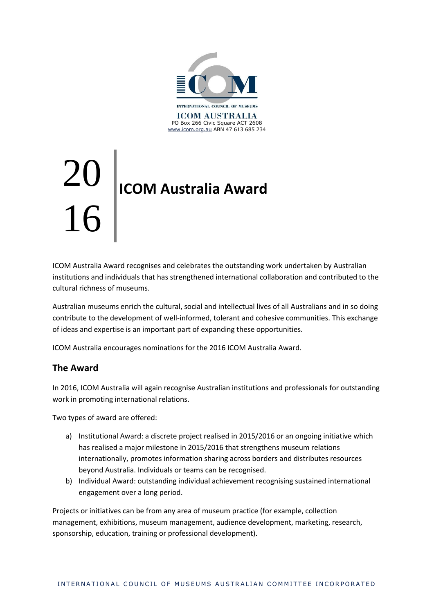

# 20 16 **ICOM Australia Award**

ICOM Australia Award recognises and celebrates the outstanding work undertaken by Australian institutions and individuals that has strengthened international collaboration and contributed to the cultural richness of museums.

Australian museums enrich the cultural, social and intellectual lives of all Australians and in so doing contribute to the development of well-informed, tolerant and cohesive communities. This exchange of ideas and expertise is an important part of expanding these opportunities.

ICOM Australia encourages nominations for the 2016 ICOM Australia Award.

#### **The Award**

In 2016, ICOM Australia will again recognise Australian institutions and professionals for outstanding work in promoting international relations.

Two types of award are offered:

- a) Institutional Award: a discrete project realised in 2015/2016 or an ongoing initiative which has realised a major milestone in 2015/2016 that strengthens museum relations internationally, promotes information sharing across borders and distributes resources beyond Australia. Individuals or teams can be recognised.
- b) Individual Award: outstanding individual achievement recognising sustained international engagement over a long period.

Projects or initiatives can be from any area of museum practice (for example, collection management, exhibitions, museum management, audience development, marketing, research, sponsorship, education, training or professional development).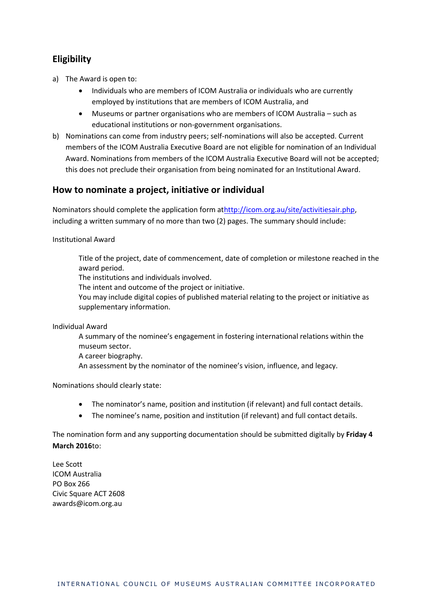## **Eligibility**

- a) The Award is open to:
	- Individuals who are members of ICOM Australia or individuals who are currently employed by institutions that are members of ICOM Australia, and
	- Museums or partner organisations who are members of ICOM Australia such as educational institutions or non-government organisations.
- b) Nominations can come from industry peers; self-nominations will also be accepted. Current members of the ICOM Australia Executive Board are not eligible for nomination of an Individual Award. Nominations from members of the ICOM Australia Executive Board will not be accepted; this does not preclude their organisation from being nominated for an Institutional Award.

#### **How to nominate a project, initiative or individual**

Nominators should complete the application form a[thttp://icom.org.au/site/activitiesair.php,](http://icom.org.au/site/activitiesair.php) including a written summary of no more than two (2) pages. The summary should include:

Institutional Award

Title of the project, date of commencement, date of completion or milestone reached in the award period.

The institutions and individuals involved.

The intent and outcome of the project or initiative.

You may include digital copies of published material relating to the project or initiative as supplementary information.

Individual Award

A summary of the nominee's engagement in fostering international relations within the museum sector.

A career biography.

An assessment by the nominator of the nominee's vision, influence, and legacy.

Nominations should clearly state:

- The nominator's name, position and institution (if relevant) and full contact details.
- The nominee's name, position and institution (if relevant) and full contact details.

The nomination form and any supporting documentation should be submitted digitally by **Friday 4 March 2016**to:

Lee Scott ICOM Australia PO Box 266 Civic Square ACT 2608 [awards@icom.org.au](mailto:awards@icom.org.au)